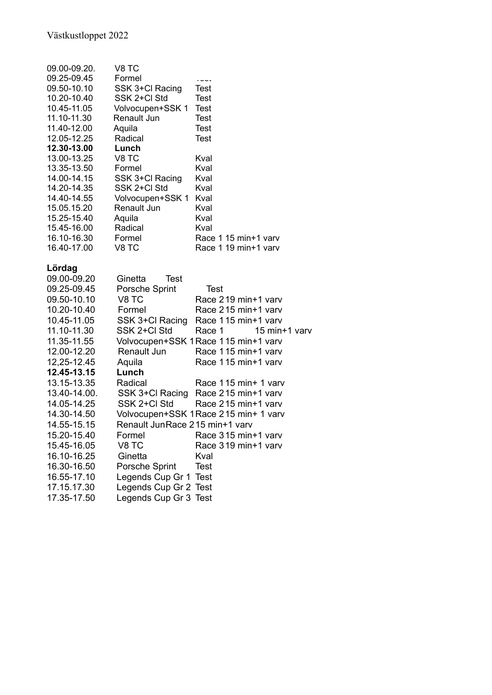| 09.00-09.20. | V8 TC                                                                   |                                      |  |  |
|--------------|-------------------------------------------------------------------------|--------------------------------------|--|--|
| 09.25-09.45  | Formel                                                                  | いいいい                                 |  |  |
| 09.50-10.10  | SSK 3+Cl Racing                                                         | <b>Test</b>                          |  |  |
| 10.20-10.40  | SSK 2+Cl Std                                                            | Test                                 |  |  |
| 10.45-11.05  | Volvocupen+SSK 1                                                        | Test                                 |  |  |
| 11.10-11.30  | Renault Jun                                                             | <b>Test</b>                          |  |  |
| 11.40-12.00  | Aquila                                                                  | Test                                 |  |  |
| 12.05-12.25  | Radical                                                                 | <b>Test</b>                          |  |  |
| 12.30-13.00  | Lunch                                                                   |                                      |  |  |
| 13.00-13.25  | V8 TC                                                                   | Kval                                 |  |  |
| 13.35-13.50  | Formel                                                                  | Kval                                 |  |  |
| 14.00-14.15  | SSK 3+Cl Racing                                                         | Kval                                 |  |  |
| 14.20-14.35  | SSK 2+Cl Std                                                            | Kval                                 |  |  |
| 14.40-14.55  | Volvocupen+SSK 1                                                        | Kval                                 |  |  |
| 15.05.15.20  | Renault Jun                                                             | Kval                                 |  |  |
| 15.25-15.40  | Aquila                                                                  | Kval                                 |  |  |
| 15.45-16.00  | Radical                                                                 | Kval                                 |  |  |
| 16.10-16.30  | Formel                                                                  | Race 1 15 min+1 varv                 |  |  |
| 16.40-17.00  | V8 TC                                                                   | Race 1 19 min+1 varv                 |  |  |
| Lördag       |                                                                         |                                      |  |  |
| 09.00-09.20  | Ginetta<br><b>Test</b>                                                  |                                      |  |  |
| 09.25-09.45  | Porsche Sprint                                                          | <b>Test</b>                          |  |  |
| 09.50-10.10  | V8 TC                                                                   | Race 219 min+1 varv                  |  |  |
| 10.20-10.40  | Formel                                                                  | Race 215 min+1 varv                  |  |  |
| 10.45-11.05  | SSK 3+Cl Racing                                                         | Race 115 min+1 varv                  |  |  |
| 11.10-11.30  | SSK 2+Cl Std                                                            | Race 1<br>15 min+1 varv              |  |  |
| 11.35-11.55  |                                                                         | Volvocupen+SSK 1 Race 115 min+1 varv |  |  |
| 12.00-12.20  | Renault Jun                                                             | Race 115 min+1 varv                  |  |  |
| 12,25-12.45  | Aquila                                                                  | Race 115 min+1 varv                  |  |  |
| 12.45-13.15  | Lunch                                                                   |                                      |  |  |
| 13.15-13.35  | Radical                                                                 | Race 115 min+ 1 varv                 |  |  |
| 13.40-14.00. | SSK 3+Cl Racing                                                         | Race 215 min+1 varv                  |  |  |
| 14.05-14.25  | SSK 2+Cl Std                                                            | Race 215 min+1 varv                  |  |  |
| 14.30-14.50  |                                                                         |                                      |  |  |
| 14.55-15.15  | Volvocupen+SSK 1 Race 215 min+ 1 varv<br>Renault JunRace 215 min+1 varv |                                      |  |  |
| 15.20-15.40  | Formel                                                                  | Race 315 min+1 varv                  |  |  |
| 15.45-16.05  | V8 TC                                                                   | Race 319 min+1 varv                  |  |  |
| 16.10-16.25  | Ginetta                                                                 | Kval                                 |  |  |
| 16.30-16.50  |                                                                         |                                      |  |  |
|              | <b>Porsche Sprint</b>                                                   | Test                                 |  |  |
| 16.55-17.10  | Legends Cup Gr 1                                                        | <b>Test</b>                          |  |  |
| 17.15.17.30  | Legends Cup Gr 2 Test                                                   |                                      |  |  |
| 17.35-17.50  | Legends Cup Gr 3 Test                                                   |                                      |  |  |